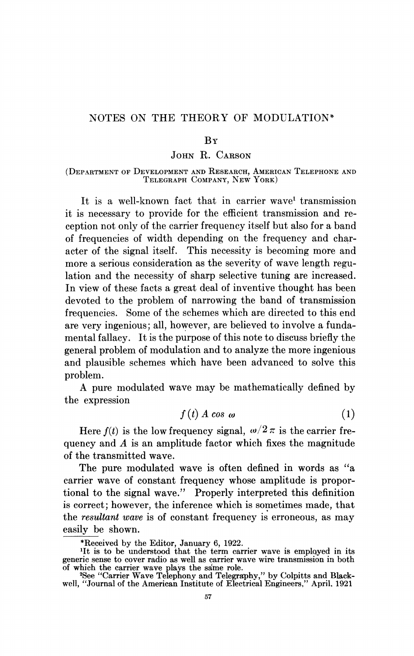## NOTES ON THE THEORY OF MODULATION\*

## $R_{Y}$

## JOHN R. CARSON

(DEPARTMENT OF DEVELOPMENT AND RESEARCH, AMERICAN TELEPHONE AND TELEGRAPH COMPANY, NEW YORK)

It is a well-known fact that in carrier wave' transmission it is necessary to provide for the efficient transmission and reception not only of the carrier frequency itself but also for a band of frequencies of width depending on the frequency and character of the signal itself. This necessity is becoming more and more a serious consideration as the severity of wave length regulation and the necessity of sharp selective tuning are increased. In view of these facts a great deal of inventive thought has been devoted to the problem of narrowing the band of transmission frequencies. Some of the schemes which are directed to this end are very ingenious; all, however, are believed to involve a fundamental fallacy. It is the purpose of this note to discuss briefly the general problem of modulation and to analyze the more ingenious and plausible schemes which have been advanced to solve this problem.

A pure modulated wave may be mathematically defined by the expression

$$
f(t) A \cos \omega \tag{1}
$$

Here  $f(t)$  is the low frequency signal,  $\omega/2 \pi$  is the carrier frequency and  $A$  is an amplitude factor which fixes the magnitude of the transmitted wave.

The pure modulated wave is often defined in words as "a carrier wave of constant frequency whose amplitude is proportional to the signal wave." Properly interpreted this definition is correct; however, the inference which is sometimes made, that the resultant wave is of constant frequency is erroneous, as may easily be shown.

<sup>\*</sup>Received by the Editor, January 6, 1922. 11t is to be understood that the term carrier wave is employed in its generic sense to cover radio as well as carrier wave wire transmission in both

of which the carrier wave plays the same role.<br><sup>2</sup>See "Carrier Wave Telephony and Telegraphy," by Colpitts and Blackwell, "Journal of the American Institute of Electrical Engineers," April, 1921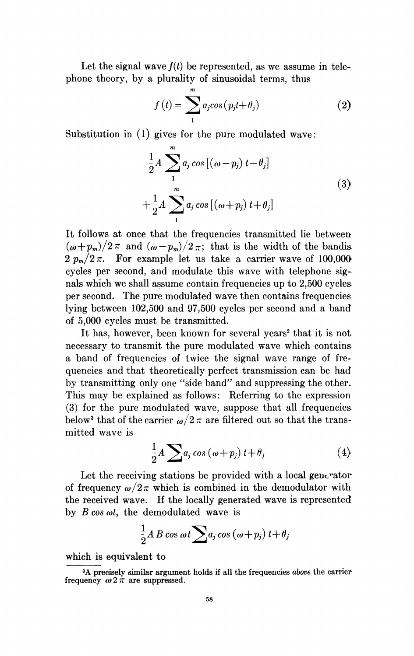Let the signal wave  $f(t)$  be represented, as we assume in telephone theory, by a plurality of sinusoidal terms, thus

$$
f(t) = \sum_{1}^{m} a_j \cos(p_j t + \theta_j)
$$
 (2)

Substitution in (1) gives for the pure modulated wave:

$$
\frac{1}{2}A\sum_{1}^{m}a_{j}\cos\left[\left(\omega-p_{j}\right)t-\theta_{j}\right]
$$
\n
$$
+\frac{1}{2}A\sum_{1}^{m}a_{j}\cos\left[\left(\omega+p_{j}\right)t+\theta_{j}\right]
$$
\n(3)

It follows at once that the frequencies transmitted lie between  $(\omega+p_m)/2\pi$  and  $(\omega-p_m)/2\pi$ ; that is the width of the bandis  $2 p_m/2 \pi$ . For example let us take a carrier wave of 100,000 cycles per second, and modulate this wave with telephone signals which we shall assume contain frequencies up to 2,500 cycles per second. The pure modulated wave then contains frequencies lying between 102,500 and 97,500 cycles per second and a band of 5,000 cycles must be transmitted.

It has, however, been known for several years<sup>2</sup> that it is not necessary to transmit the pure modulated wave which contains a band of frequencies of twice the signal wave range of frequencies and that theoretically perfect transmission can be had by transmitting only one "side band" and suppressing the other. This may be explained as follows: Referring to the expression (3) for the pure modulated wave, suppose that all frequencies below<sup>3</sup> that of the carrier  $\omega/2 \pi$  are filtered out so that the transmitted wave is

$$
\frac{1}{2}A\sum a_j\cos\left(\omega+p_j\right)t+\theta_j\tag{4}
$$

Let the receiving stations be provided with a local generator of frequency  $\omega/2\pi$  which is combined in the demodulator with the received wave. If the locally generated wave is represented by  $B \cos \omega t$ , the demodulated wave is

$$
\frac{1}{2}A B \cos \omega t \sum a_j \cos (\omega + p_j) t + \theta_j
$$

which is equivalent to

<sup>&</sup>lt;sup>3</sup>A precisely similar argument holds if all the frequencies above the carrier frequency  $\omega 2\pi$  are suppressed.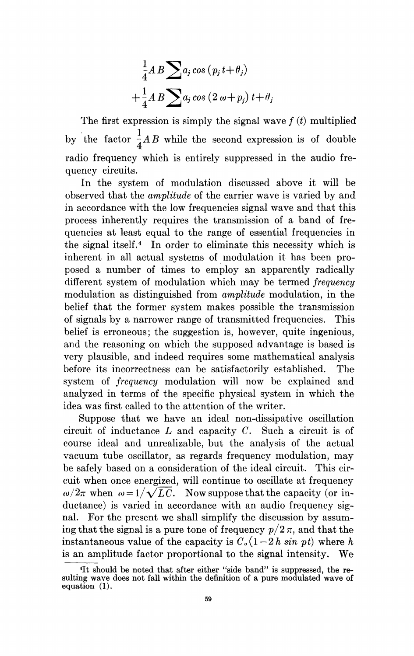$$
\frac{1}{4}AB \sum a_j \cos (p_j t + \theta_j)
$$
  
+ 
$$
\frac{1}{4}AB \sum a_j \cos (2 \omega + p_j) t + \theta_j
$$

The first expression is simply the signal wave  $f(t)$  multiplied by the factor  $\frac{1}{4}AB$  while the second expression is of double radio frequency which is entirely suppressed in the audio frequency circuits.

In the system of modulation discussed above it will be observed that the amplitude of the carrier wave is varied by and in accordance with the low frequencies signal wave and that this process inherently requires the transmission of a band of frequencies at least equal to the range of essential frequencies in the signal itself.4 In order to eliminate this necessity which is inherent in all actual systems of modulation it has been proposed a number of times to employ an apparently radically different system of modulation which may be termed frequency modulation as distinguished from amplitude modulation, in the belief that the former system makes possible the transmission of signals by a narrower range of transmitted frequencies. This belief is erroneous; the suggestion is, however, quite ingenious, and the reasoning on which the supposed advantage is based is. very plausible, and indeed requires some mathematical analysis before its incorrectness can be satisfactorily established. The system of frequency modulation will now be explained and analyzed in terms of the specific physical system in which the idea was first called to the attention of the writer.

Suppose that we have an ideal non-dissipative oscillation circuit of inductance L and capacity C. Such a circuit is of course ideal and unrealizable, but the analysis of the actual vacuum tube oscillator, as regards frequency modulation, may be safely based on a consideration of the ideal circuit. This circuit when once energized, will continue to oscillate at frequency  $\omega/2\pi$  when  $\omega = 1/\sqrt{LC}$ . Now suppose that the capacity (or inductance) is varied in accordance with an audio frequency signal. For the present we shall simplify the discussion by assuming that the signal is a pure tone of frequency  $p/2\pi$ , and that the instantaneous value of the capacity is  $C<sub>o</sub>(1-2 h sin pt)$  where h is an amplitude factor proportional to the signal intensity. We

<sup>41</sup>t should be noted that after either "side band" is suppressed, the re-sulting wave does not fall within the definition of a pure modulated wave of equation (1).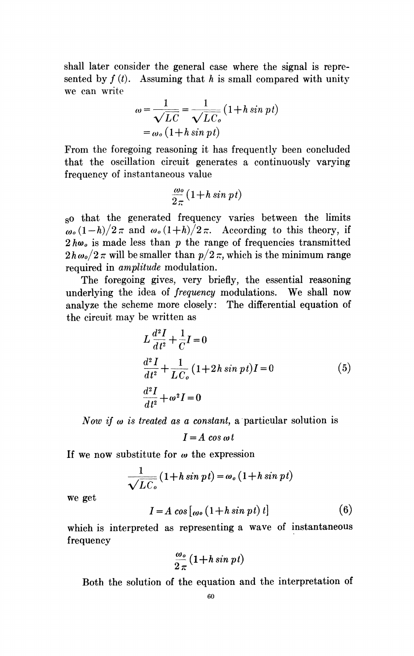shall later consider the general case where the signal is represented by  $f(t)$ . Assuming that h is small compared with unity we can write

$$
\omega = \frac{1}{\sqrt{LC}} = \frac{1}{\sqrt{LC_o}} (1 + h \sin pt)
$$
  
=  $\omega_o (1 + h \sin pt)$ 

From the foregoing reasoning it has frequently been concluded that the oscillation circuit generates a continuously varying frequency of instantaneous value

$$
\frac{\omega o}{2\pi}(1+h\sin pt)
$$

so that the generated frequency varies between the limits  $\omega_0 (1 - h)/2 \pi$  and  $\omega_0 (1 + h)/2 \pi$ . According to this theory, if  $2 h\omega_0$  is made less than p the range of frequencies transmitted  $2h\omega_o/2\pi$  will be smaller than  $p/2\pi$ , which is the minimum range required in *amplitude* modulation.

The foregoing gives, very briefly, the essential reasoning underlying the idea of frequency modulations. We shall now analyze the scheme more closely: The differential equation of the circuit may be written as

$$
L\frac{d^2I}{dt^2} + \frac{1}{C}I = 0
$$
  

$$
\frac{d^2I}{dt^2} + \frac{1}{LC_o}(1+2h\sin pt)I = 0
$$
 (5)  

$$
\frac{d^2I}{dt^2} + \omega^2I = 0
$$

Now if  $\omega$  is treated as a constant, a particular solution is

$$
I = A \cos \omega t
$$

If we now substitute for  $\omega$  the expression

$$
\frac{1}{\sqrt{LC_o}}(1+h\sin pt) = \omega_o(1+h\sin pt)
$$

we get

$$
I = A \cos [\omega_0 (1 + h \sin pt) t] \tag{6}
$$

which is interpreted as representing a wave of instantaneous frequency

$$
\frac{\omega_o}{2\,\pi}\,(1+h\sin\,pt)
$$

Both the solution of the equation and the interpretation of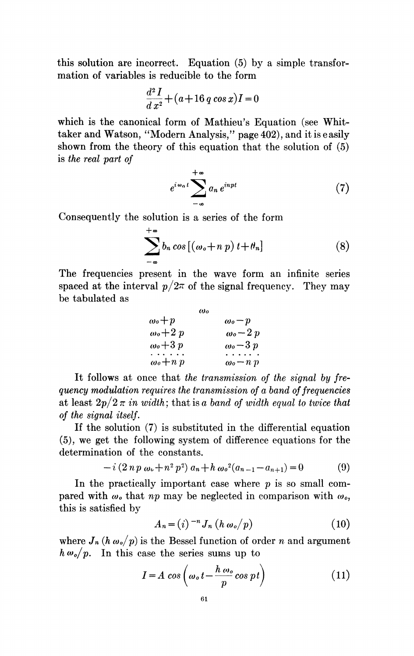this solution are incorrect. Equation (5) by a simple transformation of variables is reducible to the form

$$
\frac{d^2I}{dx^2} + (a+16\,q\cos x)I = 0
$$

which is the canonical form of Mathieu's Equation (see Whittaker and Watson, "Modern Analysis," page 402), and it is easily shown from the theory of this equation that the solution of (5) is the real part of

$$
e^{i\omega_n t} \sum_{-\infty}^{+\infty} a_n e^{inpt} \tag{7}
$$

Consequently the solution is a series of the form

$$
\sum_{-\infty}^{+\infty} b_n \cos\left[\left(\omega_o + n p\right)t + \theta_n\right] \tag{8}
$$

The frequencies present in the wave form an infinite series spaced at the interval  $p/2\pi$  of the signal frequency. They may be tabulated as

| ω                           |                                |
|-----------------------------|--------------------------------|
| $\omega$ o $+p$             | $\omega_0-p$                   |
| $\omega$ o $+2\ p$          | $\omega$ <sub>o</sub> $-2p$    |
| $\omega$ o $+3\,p$          | $\omega$ <sub>o</sub> $-3p$    |
| $\cdots$                    |                                |
| $\omega$ <sub>o</sub> + n p | $\omega$ <sub>o</sub> $-n$ $p$ |

It follows at once that the transmission of the signal by frequency modulation requires the transmission of a band of frequencies at least  $2p/2 \pi$  in width; that is a band of width equal to twice that of the signal itself.

If the solution (7) is substituted in the differential equation (5), we get the following system of difference equations for the determination of the constants.

$$
-i(2 n p \omega_0 + n^2 p^2) a_n + h \omega_0^2 (a_{n-1} - a_{n+1}) = 0
$$
 (9)

In the practically important case where  $p$  is so small compared with  $\omega_o$  that np may be neglected in comparison with  $\omega_o$ , this is satisfied by

$$
A_n = (i)^{-n} J_n (h \omega_o / p) \qquad (10)
$$

where  $J_n(h \omega_o/p)$  is the Bessel function of order n and argument  $h \omega_o / p$ . In this case the series sums up to

$$
I = A \cos \left( \omega_o t - \frac{h \omega_o}{p} \cos pt \right) \tag{11}
$$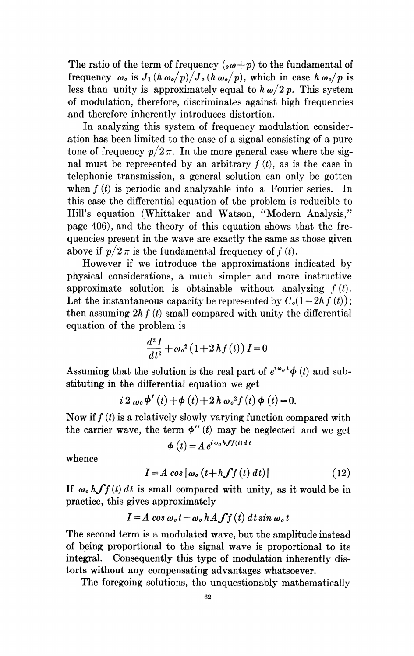The ratio of the term of frequency ( $\omega+p$ ) to the fundamental of frequency  $\omega_o$  is  $J_1(h \omega_o/p)/J_o(h \omega_o/p)$ , which in case  $h \omega_o/p$  is less than unity is approximately equal to  $h \omega/2 p$ . This system of modulation, therefore, discriminates against high frequencies and therefore inherently introduces distortion.

In analyzing this system of frequency modulation consideration has been limited to the case of a signal consisting of a pure tone of frequency  $p/2\pi$ . In the more general case where the signal must be represented by an arbitrary  $f(t)$ , as is the case in telephonic transmission, a general solution can only be gotten when  $f(t)$  is periodic and analyzable into a Fourier series. In this case the differential equation of the problem is reducible to Hill's equation (Whittaker and Watson, "Modern Analysis," page 406), and the theory of this equation shows that the frequencies present in the wave are exactly the same as those given above if  $p/2 \pi$  is the fundamental frequency of  $f(t)$ .

However if we introduce the approximations indicated by physical considerations, a much simpler and more instructive approximate solution is obtainable without analyzing  $f(t)$ . Let the instantaneous capacity be represented by  $C<sub>o</sub>(1-2h f(t));$ then assuming  $2h f(t)$  small compared with unity the differential equation of the problem is

$$
\frac{d^2I}{dt^2} + \omega_o^2 \left(1 + 2\,hf\left(t\right)\right)I = 0
$$

Assuming that the solution is the real part of  $e^{i\omega_0 t}\phi(t)$  and substituting in the differential equation we get

$$
i 2 \omega_0 \phi'(t) + \phi(t) + 2 h \omega_0^2 f(t) \phi(t) = 0.
$$

Now if  $f(t)$  is a relatively slowly varying function compared with the carrier wave, the term  $\phi''(t)$  may be neglected and we get

$$
\phi(t) = A e^{i \omega_0 h f f(t) d}
$$

whence

 $I=A \cos \left[\omega_0 \left(t+h \int f(t) dt\right)\right]$  (12)

If  $\omega_o$  h  $\int f(t) dt$  is small compared with unity, as it would be in practice, this gives approximately

$$
I = A \cos \omega_o t - \omega_o h A \int f(t) dt \sin \omega_o t
$$

The second term is a modulated wave, but the amplitude instead of being proportional to the signal wave is proportional to its integral. Consequently this type of modulation inherently distorts without any compensating advantages whatsoever.

The foregoing solutions, tho unquestionably mathematically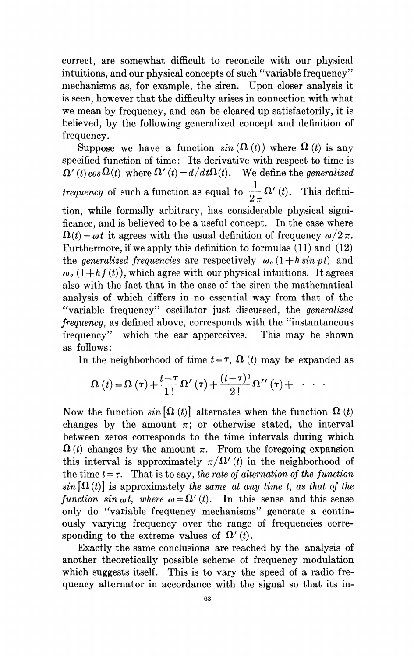correct, are somewhat difficult to reconcile with our physical intuitions, and our physical concepts of such "variable frequency" mechanisms as, for example, the siren. Upon closer analysis it is seen, however that the difficulty arises in connection with what we mean by frequency, and can be cleared up satisfactorily, it is believed, by the following generalized concept and definition of frequency.

Suppose we have a function  $sin(\Omega(t))$  where  $\Omega(t)$  is any specified function of time: Its derivative with respect to time is  $\Omega'(t) \cos \Omega(t)$  where  $\Omega'(t) = d/dt\Omega(t)$ . We define the generalized *trequency* of such a function as equal to  $\frac{1}{2 \pi} \Omega'(t)$ . This definition, while formally arbitrary, has considerable physical significance, and is believed to be a useful concept. In the case where  $\Omega(t) = \omega t$  it agrees with the usual definition of frequency  $\omega/2 \pi$ . Furthermore, if we apply this definition to formulas (11) and (12) the *generalized frequencies* are respectively  $\omega_o(1 + h \sin \nu t)$  and  $\omega_{\varrho}(1 + h f(t))$ , which agree with our physical intuitions. It agrees also with the fact that in the case of the siren the mathematical analysis of which differs in no essential way from that of the "variable frequency" oscillator just discussed, the *generalized* frequency, as defined above, corresponds with the "instantaneous frequency" which the ear apperceives. This may be shown as follows:

In the neighborhood of time  $t = \tau$ ,  $\Omega$  (t) may be expanded as

$$
\Omega(t) = \Omega(\tau) + \frac{t-\tau}{1!} \Omega'(\tau) + \frac{(t-\tau)^2}{2!} \Omega''(\tau) + \cdots
$$

Now the function  $sin \left[\Omega(t)\right]$  alternates when the function  $\Omega(t)$ changes by the amount  $\pi$ ; or otherwise stated, the interval between zeros corresponds to the time intervals during which  $\Omega(t)$  changes by the amount  $\pi$ . From the foregoing expansion this interval is approximately  $\pi/\Omega'(t)$  in the neighborhood of the time  $t = \tau$ . That is to say, the rate of alternation of the function  $sin \left[\Omega(t)\right]$  is approximately the same at any time t, as that of the function sin  $\omega t$ , where  $\omega = \Omega'(t)$ . In this sense and this sense only do "variable frequency mechanisms" generate a continously varying frequency over the range of frequencies corresponding to the extreme values of  $\Omega'(t)$ .

Exactly the same conclusions are reached by the analysis of another theoretically possible scheme of frequency modulation which suggests itself. This is to vary the speed of a radio frequency alternator in accordance with the signal so that its in